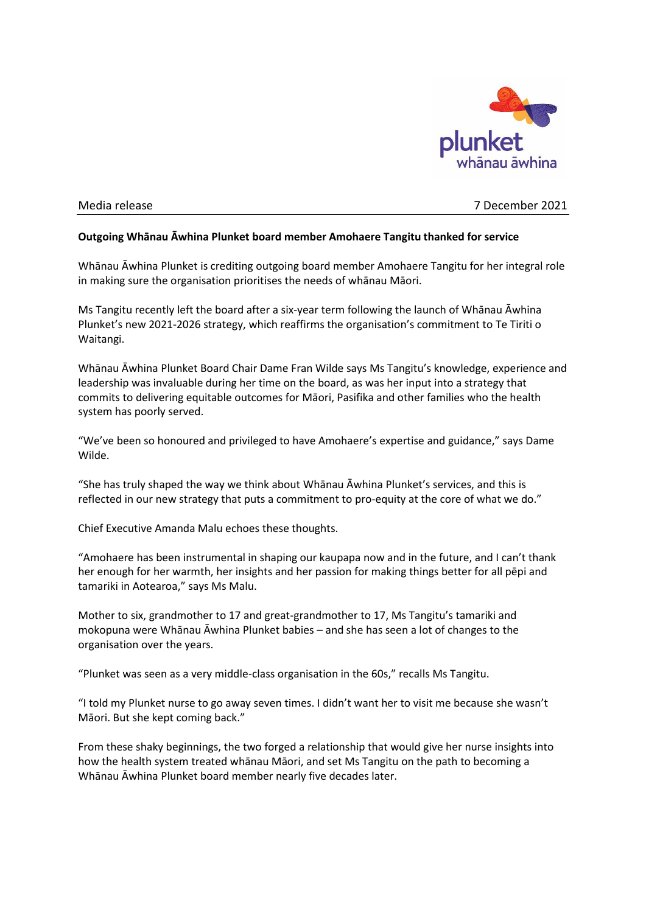

## Media release 7 December 2021

## **Outgoing Whānau Āwhina Plunket board member Amohaere Tangitu thanked for service**

Whānau Āwhina Plunket is crediting outgoing board member Amohaere Tangitu for her integral role in making sure the organisation prioritises the needs of whānau Māori.

Ms Tangitu recently left the board after a six-year term following the launch of Whānau Āwhina Plunket's new 2021-2026 strategy, which reaffirms the organisation's commitment to Te Tiriti o Waitangi.

Whānau Āwhina Plunket Board Chair Dame Fran Wilde says Ms Tangitu's knowledge, experience and leadership was invaluable during her time on the board, as was her input into a strategy that commits to delivering equitable outcomes for Māori, Pasifika and other families who the health system has poorly served.

"We've been so honoured and privileged to have Amohaere's expertise and guidance," says Dame Wilde.

"She has truly shaped the way we think about Whānau Āwhina Plunket's services, and this is reflected in our new strategy that puts a commitment to pro-equity at the core of what we do."

Chief Executive Amanda Malu echoes these thoughts.

"Amohaere has been instrumental in shaping our kaupapa now and in the future, and I can't thank her enough for her warmth, her insights and her passion for making things better for all pēpi and tamariki in Aotearoa," says Ms Malu.

Mother to six, grandmother to 17 and great-grandmother to 17, Ms Tangitu's tamariki and mokopuna were Whānau Āwhina Plunket babies – and she has seen a lot of changes to the organisation over the years.

"Plunket was seen as a very middle-class organisation in the 60s," recalls Ms Tangitu.

"I told my Plunket nurse to go away seven times. I didn't want her to visit me because she wasn't Māori. But she kept coming back."

From these shaky beginnings, the two forged a relationship that would give her nurse insights into how the health system treated whānau Māori, and set Ms Tangitu on the path to becoming a Whānau Āwhina Plunket board member nearly five decades later.